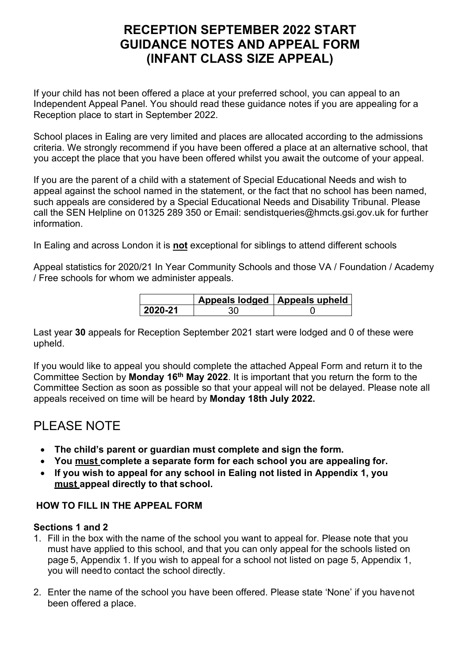# **RECEPTION SEPTEMBER 2022 START GUIDANCE NOTES AND APPEAL FORM (INFANT CLASS SIZE APPEAL)**

If your child has not been offered a place at your preferred school, you can appeal to an Independent Appeal Panel. You should read these guidance notes if you are appealing for a Reception place to start in September 2022.

School places in Ealing are very limited and places are allocated according to the admissions criteria. We strongly recommend if you have been offered a place at an alternative school, that you accept the place that you have been offered whilst you await the outcome of your appeal.

If you are the parent of a child with a statement of Special Educational Needs and wish to appeal against the school named in the statement, or the fact that no school has been named, such appeals are considered by a Special Educational Needs and Disability Tribunal. Please call the SEN Helpline on 01325 289 350 or Email: sendistqueries@hmcts.gsi.gov.uk for further information.

In Ealing and across London it is **not** exceptional for siblings to attend different schools

Appeal statistics for 2020/21 In Year Community Schools and those VA / Foundation / Academy / Free schools for whom we administer appeals.

|         | Appeals lodged   Appeals upheld ' |
|---------|-----------------------------------|
| 2020-21 |                                   |

Last year **30** appeals for Reception September 2021 start were lodged and 0 of these were upheld.

If you would like to appeal you should complete the attached Appeal Form and return it to the Committee Section by **Monday 16th May 2022**. It is important that you return the form to the Committee Section as soon as possible so that your appeal will not be delayed. Please note all appeals received on time will be heard by **Monday 18th July 2022.**

# PLEASE NOTE

- **The child's parent or guardian must complete and sign the form.**
- **You must complete a separate form for each school you are appealing for.**
- **If you wish to appeal for any school in Ealing not listed in Appendix 1, you must appeal directly to that school.**

## **HOW TO FILL IN THE APPEAL FORM**

## **Sections 1 and 2**

- 1. Fill in the box with the name of the school you want to appeal for. Please note that you must have applied to this school, and that you can only appeal for the schools listed on page 5, Appendix 1. If you wish to appeal for a school not listed on page 5, Appendix 1, you will needto contact the school directly.
- 2. Enter the name of the school you have been offered. Please state 'None' if you havenot been offered a place.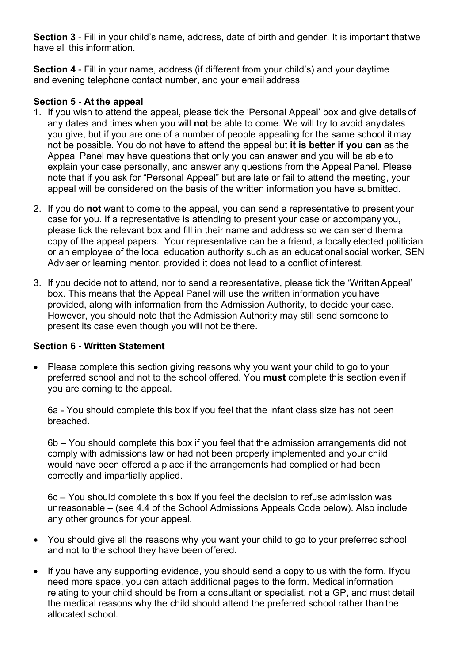**Section 3** - Fill in your child's name, address, date of birth and gender. It is important thatwe have all this information.

**Section 4** - Fill in your name, address (if different from your child's) and your daytime and evening telephone contact number, and your email address

### **Section 5 - At the appeal**

- 1. If you wish to attend the appeal, please tick the 'Personal Appeal' box and give details of any dates and times when you will **not** be able to come. We will try to avoid anydates you give, but if you are one of a number of people appealing for the same school it may not be possible. You do not have to attend the appeal but **it is better if you can** as the Appeal Panel may have questions that only you can answer and you will be able to explain your case personally, and answer any questions from the Appeal Panel. Please note that if you ask for "Personal Appeal" but are late or fail to attend the meeting, your appeal will be considered on the basis of the written information you have submitted.
- 2. If you do **not** want to come to the appeal, you can send a representative to present your case for you. If a representative is attending to present your case or accompany you, please tick the relevant box and fill in their name and address so we can send them a copy of the appeal papers. Your representative can be a friend, a locally elected politician or an employee of the local education authority such as an educational social worker, SEN Adviser or learning mentor, provided it does not lead to a conflict of interest.
- 3. If you decide not to attend, nor to send a representative, please tick the 'WrittenAppeal' box. This means that the Appeal Panel will use the written information you have provided, along with information from the Admission Authority, to decide your case. However, you should note that the Admission Authority may still send someone to present its case even though you will not be there.

#### **Section 6 - Written Statement**

• Please complete this section giving reasons why you want your child to go to your preferred school and not to the school offered. You **must** complete this section even if you are coming to the appeal.

6a - You should complete this box if you feel that the infant class size has not been breached.

6b – You should complete this box if you feel that the admission arrangements did not comply with admissions law or had not been properly implemented and your child would have been offered a place if the arrangements had complied or had been correctly and impartially applied.

6c – You should complete this box if you feel the decision to refuse admission was unreasonable – (see 4.4 of the School Admissions Appeals Code below). Also include any other grounds for your appeal.

- You should give all the reasons why you want your child to go to your preferred school and not to the school they have been offered.
- If you have any supporting evidence, you should send a copy to us with the form. Ifyou need more space, you can attach additional pages to the form. Medical information relating to your child should be from a consultant or specialist, not a GP, and must detail the medical reasons why the child should attend the preferred school rather than the allocated school.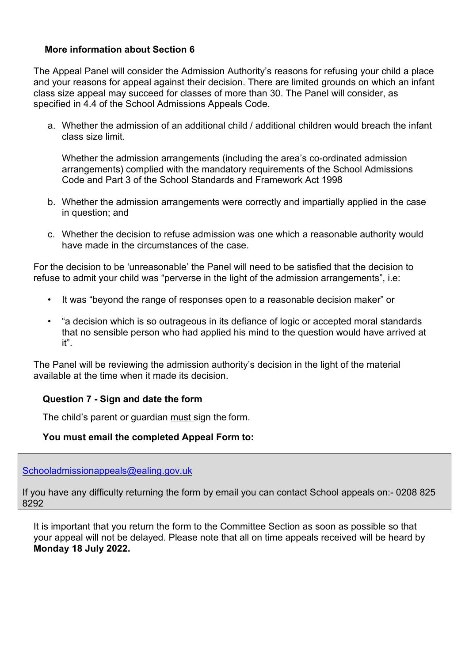### **More information about Section 6**

The Appeal Panel will consider the Admission Authority's reasons for refusing your child a place and your reasons for appeal against their decision. There are limited grounds on which an infant class size appeal may succeed for classes of more than 30. The Panel will consider, as specified in 4.4 of the School Admissions Appeals Code.

a. Whether the admission of an additional child / additional children would breach the infant class size limit.

Whether the admission arrangements (including the area's co-ordinated admission arrangements) complied with the mandatory requirements of the School Admissions Code and Part 3 of the School Standards and Framework Act 1998

- b. Whether the admission arrangements were correctly and impartially applied in the case in question; and
- c. Whether the decision to refuse admission was one which a reasonable authority would have made in the circumstances of the case.

For the decision to be 'unreasonable' the Panel will need to be satisfied that the decision to refuse to admit your child was "perverse in the light of the admission arrangements", i.e:

- It was "beyond the range of responses open to a reasonable decision maker" or
- "a decision which is so outrageous in its defiance of logic or accepted moral standards that no sensible person who had applied his mind to the question would have arrived at it".

The Panel will be reviewing the admission authority's decision in the light of the material available at the time when it made its decision.

#### **Question 7 - Sign and date the form**

The child's parent or guardian must sign the form.

#### **You must email the completed Appeal Form to:**

[Schooladmissionappeals@ealing.gov.uk](mailto:Schooladmissionappeals@ealing.gov.uk)

If you have any difficulty returning the form by email you can contact School appeals on:- 0208 825 8292

It is important that you return the form to the Committee Section as soon as possible so that your appeal will not be delayed. Please note that all on time appeals received will be heard by **Monday 18 July 2022.**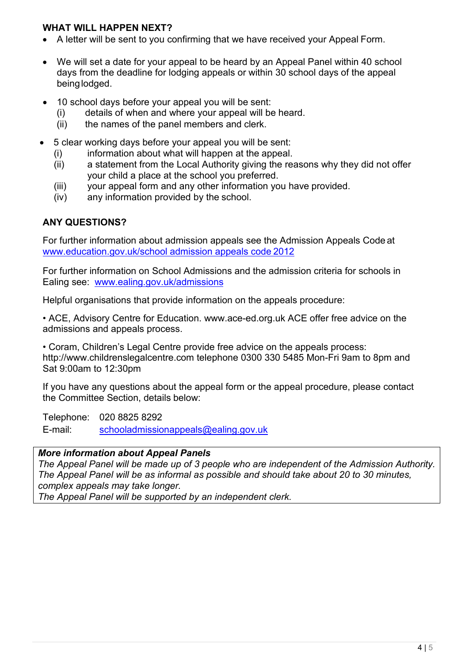#### **WHAT WILL HAPPEN NEXT?**

- A letter will be sent to you confirming that we have received your Appeal Form.
- We will set a date for your appeal to be heard by an Appeal Panel within 40 school days from the deadline for lodging appeals or within 30 school days of the appeal being lodged.
- 10 school days before your appeal you will be sent:
	- (i) details of when and where your appeal will be heard.
	- (ii) the names of the panel members and clerk.
- 5 clear working days before your appeal you will be sent:
	- (i) information about what will happen at the appeal.
	- (ii) a statement from the Local Authority giving the reasons why they did not offer your child a place at the school you preferred.
	- (iii) your appeal form and any other information you have provided.
	- (iv) any information provided by the school.

## **ANY QUESTIONS?**

For further information about admission appeals see the Admission Appeals Code at [www.education.gov.uk/school admission appeals code](https://www.gov.uk/government/publications/school-admissions-appeals-code) 2012

For further information on School Admissions and the admission criteria for schools in Ealing see: [www.ealing.gov.uk/admissions](http://www.ealing.gov.uk/admissions)

Helpful organisations that provide information on the appeals procedure:

• ACE, Advisory Centre for Education. www.ace-ed.org.uk ACE offer free advice on the admissions and appeals process.

• Coram, Children's Legal Centre provide free advice on the appeals process: http://www.childrenslegalcentre.com telephone 0300 330 5485 Mon-Fri 9am to 8pm and Sat 9:00am to 12:30pm

If you have any questions about the appeal form or the appeal procedure, please contact the Committee Section, details below:

Telephone: 020 8825 8292

E-mail: [schooladmissionappeals@ealing.gov.uk](mailto:schooladmissionappeals@ealing.gov.uk) 

#### *More information about Appeal Panels*

*The Appeal Panel will be made up of 3 people who are independent of the Admission Authority. The Appeal Panel will be as informal as possible and should take about 20 to 30 minutes, complex appeals may take longer.*

*The Appeal Panel will be supported by an independent clerk.*